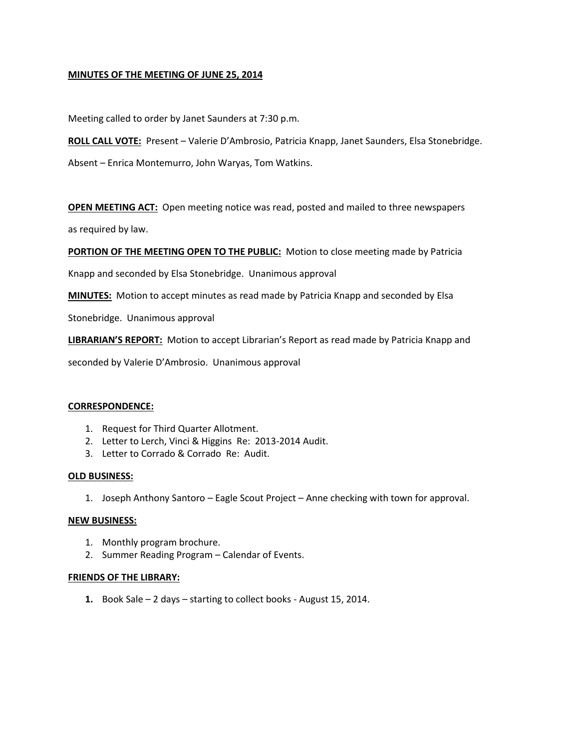### **MINUTES OF THE MEETING OF JUNE 25, 2014**

Meeting called to order by Janet Saunders at 7:30 p.m.

**ROLL CALL VOTE:** Present – Valerie D'Ambrosio, Patricia Knapp, Janet Saunders, Elsa Stonebridge.

Absent – Enrica Montemurro, John Waryas, Tom Watkins.

**OPEN MEETING ACT:** Open meeting notice was read, posted and mailed to three newspapers

as required by law.

**PORTION OF THE MEETING OPEN TO THE PUBLIC:** Motion to close meeting made by Patricia

Knapp and seconded by Elsa Stonebridge. Unanimous approval

**MINUTES:** Motion to accept minutes as read made by Patricia Knapp and seconded by Elsa

Stonebridge. Unanimous approval

**LIBRARIAN'S REPORT:** Motion to accept Librarian's Report as read made by Patricia Knapp and

seconded by Valerie D'Ambrosio. Unanimous approval

#### **CORRESPONDENCE:**

- 1. Request for Third Quarter Allotment.
- 2. Letter to Lerch, Vinci & Higgins Re: 2013-2014 Audit.
- 3. Letter to Corrado & Corrado Re: Audit.

#### **OLD BUSINESS:**

1. Joseph Anthony Santoro – Eagle Scout Project – Anne checking with town for approval.

#### **NEW BUSINESS:**

- 1. Monthly program brochure.
- 2. Summer Reading Program Calendar of Events.

#### **FRIENDS OF THE LIBRARY:**

**1.** Book Sale – 2 days – starting to collect books - August 15, 2014.